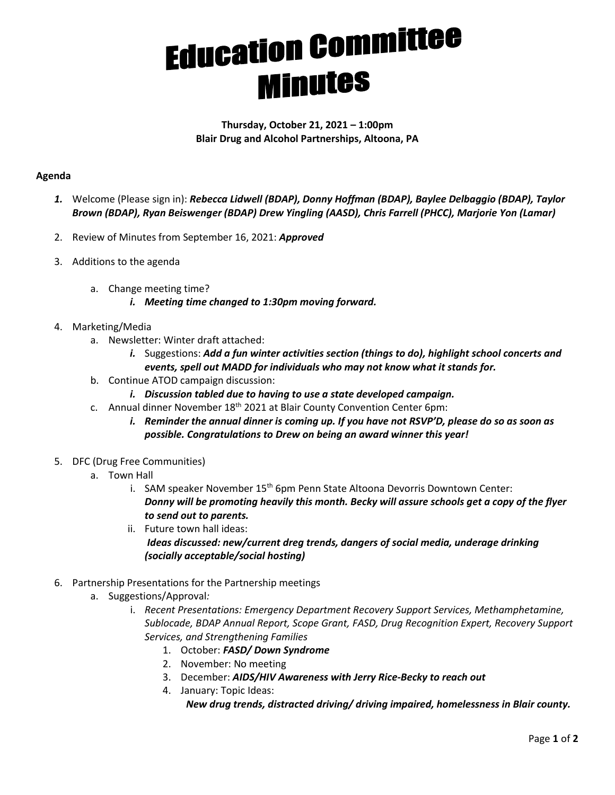## **Education Committee Minutes**

## **Thursday, October 21, 2021 – 1:00pm Blair Drug and Alcohol Partnerships, Altoona, PA**

## **Agenda**

- *1.* Welcome (Please sign in): *Rebecca Lidwell (BDAP), Donny Hoffman (BDAP), Baylee Delbaggio (BDAP), Taylor Brown (BDAP), Ryan Beiswenger (BDAP) Drew Yingling (AASD), Chris Farrell (PHCC), Marjorie Yon (Lamar)*
- 2. Review of Minutes from September 16, 2021: *Approved*
- 3. Additions to the agenda
	- a. Change meeting time?
		- *i. Meeting time changed to 1:30pm moving forward.*
- 4. Marketing/Media
	- a. Newsletter: Winter draft attached:
		- *i.* Suggestions: *Add a fun winter activities section (things to do), highlight school concerts and events, spell out MADD for individuals who may not know what it stands for.*
	- b. Continue ATOD campaign discussion:
		- *i. Discussion tabled due to having to use a state developed campaign.*
	- c. Annual dinner November 18<sup>th</sup> 2021 at Blair County Convention Center 6pm:
		- *i. Reminder the annual dinner is coming up. If you have not RSVP'D, please do so as soon as possible. Congratulations to Drew on being an award winner this year!*
- 5. DFC (Drug Free Communities)
	- a. Town Hall
		- i. SAM speaker November 15<sup>th</sup> 6pm Penn State Altoona Devorris Downtown Center: *Donny will be promoting heavily this month. Becky will assure schools get a copy of the flyer to send out to parents.*
		- ii. Future town hall ideas: *Ideas discussed: new/current dreg trends, dangers of social media, underage drinking (socially acceptable/social hosting)*
- 6. Partnership Presentations for the Partnership meetings
	- a. Suggestions/Approval*:*
		- i. *Recent Presentations: Emergency Department Recovery Support Services, Methamphetamine, Sublocade, BDAP Annual Report, Scope Grant, FASD, Drug Recognition Expert, Recovery Support Services, and Strengthening Families*
			- 1. October: *FASD/ Down Syndrome*
			- 2. November: No meeting
			- 3. December: *AIDS/HIV Awareness with Jerry Rice-Becky to reach out*
			- 4. January: Topic Ideas:

*New drug trends, distracted driving/ driving impaired, homelessness in Blair county.*